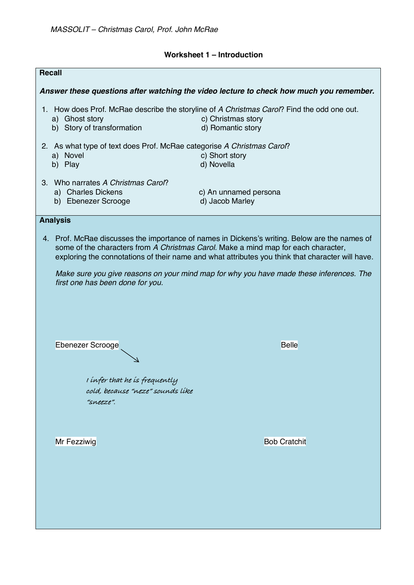# **Worksheet 1 – Introduction**

| <b>Recall</b>                                                                                                                                                                                                                                                                           |                                                                                                                                       |
|-----------------------------------------------------------------------------------------------------------------------------------------------------------------------------------------------------------------------------------------------------------------------------------------|---------------------------------------------------------------------------------------------------------------------------------------|
| Answer these questions after watching the video lecture to check how much you remember.                                                                                                                                                                                                 |                                                                                                                                       |
| a) Ghost story<br>b) Story of transformation                                                                                                                                                                                                                                            | 1. How does Prof. McRae describe the storyline of A Christmas Carol? Find the odd one out.<br>c) Christmas story<br>d) Romantic story |
| 2. As what type of text does Prof. McRae categorise A Christmas Carol?<br>a) Novel<br>b) Play                                                                                                                                                                                           | c) Short story<br>d) Novella                                                                                                          |
| 3. Who narrates A Christmas Carol?<br>a) Charles Dickens<br>b) Ebenezer Scrooge                                                                                                                                                                                                         | c) An unnamed persona<br>d) Jacob Marley                                                                                              |
| <b>Analysis</b>                                                                                                                                                                                                                                                                         |                                                                                                                                       |
| 4. Prof. McRae discusses the importance of names in Dickens's writing. Below are the names of<br>some of the characters from A Christmas Carol. Make a mind map for each character,<br>exploring the connotations of their name and what attributes you think that character will have. |                                                                                                                                       |
| Make sure you give reasons on your mind map for why you have made these inferences. The<br>first one has been done for you.                                                                                                                                                             |                                                                                                                                       |
|                                                                                                                                                                                                                                                                                         |                                                                                                                                       |
| Ebenezer Scrooge                                                                                                                                                                                                                                                                        | <b>Belle</b>                                                                                                                          |
| I infer that he is frequently<br>cold, because "neze" sounds like<br>"sneeze"                                                                                                                                                                                                           |                                                                                                                                       |
| Mr Fezziwig                                                                                                                                                                                                                                                                             | <b>Bob Cratchit</b>                                                                                                                   |
|                                                                                                                                                                                                                                                                                         |                                                                                                                                       |
|                                                                                                                                                                                                                                                                                         |                                                                                                                                       |
|                                                                                                                                                                                                                                                                                         |                                                                                                                                       |